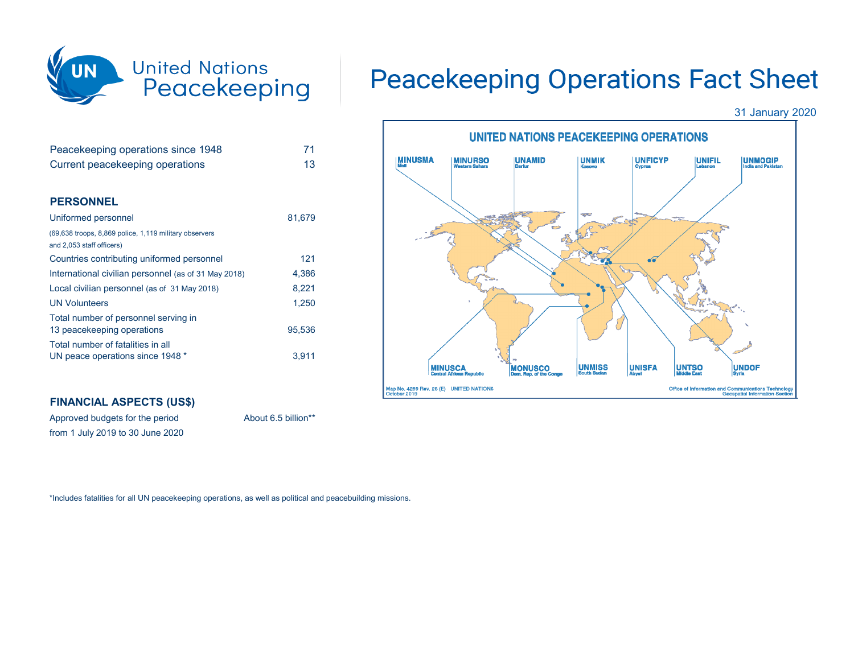

| Peacekeeping operations since 1948                                                  | 71     |
|-------------------------------------------------------------------------------------|--------|
| Current peacekeeping operations                                                     | 13     |
|                                                                                     |        |
| <b>PERSONNEL</b>                                                                    |        |
| Uniformed personnel                                                                 | 81,679 |
| (69,638 troops, 8,869 police, 1,119 military observers<br>and 2,053 staff officers) |        |
| Countries contributing uniformed personnel                                          | 121    |
| International civilian personnel (as of 31 May 2018)                                | 4,386  |
| Local civilian personnel (as of 31 May 2018)                                        | 8,221  |
| <b>UN Volunteers</b>                                                                | 1,250  |
| Total number of personnel serving in<br>13 peacekeeping operations                  | 95,536 |
| Total number of fatalities in all                                                   |        |
| UN peace operations since 1948 *                                                    | 3,911  |

## **FINANCIAL ASPECTS (US\$)**

Approved budgets for the period About 6.5 billion\*\* from 1 July 2019 to 30 June 2020

## **Peacekeeping Operations Fact Sheet**

31 January 2020



\*Includes fatalities for all UN peacekeeping operations, as well as political and peacebuilding missions.